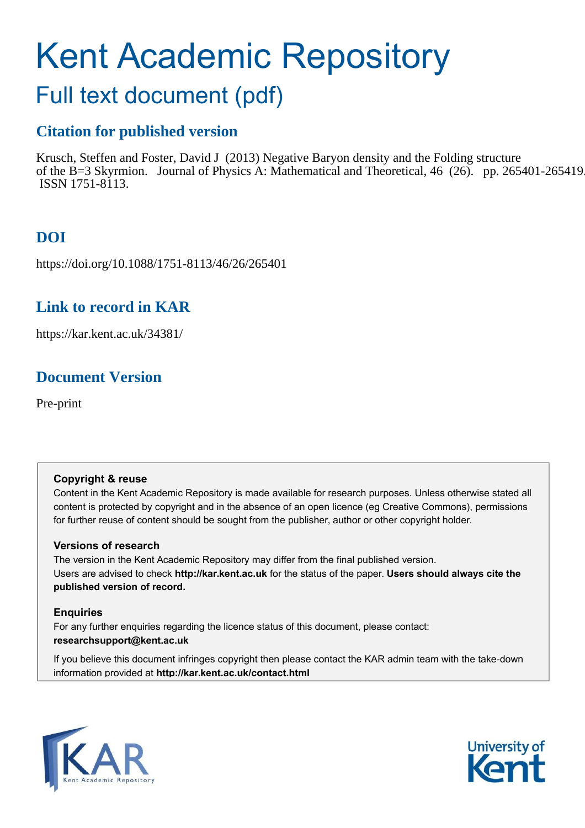# Kent Academic Repository

## Full text document (pdf)

## **Citation for published version**

Krusch, Steffen and Foster, David J (2013) Negative Baryon density and the Folding structure of the B=3 Skyrmion. Journal of Physics A: Mathematical and Theoretical, 46 (26). pp. 265401-265419. ISSN 1751-8113.

## **DOI**

https://doi.org/10.1088/1751-8113/46/26/265401

### **Link to record in KAR**

https://kar.kent.ac.uk/34381/

## **Document Version**

Pre-print

#### **Copyright & reuse**

Content in the Kent Academic Repository is made available for research purposes. Unless otherwise stated all content is protected by copyright and in the absence of an open licence (eg Creative Commons), permissions for further reuse of content should be sought from the publisher, author or other copyright holder.

#### **Versions of research**

The version in the Kent Academic Repository may differ from the final published version. Users are advised to check **http://kar.kent.ac.uk** for the status of the paper. **Users should always cite the published version of record.**

#### **Enquiries**

For any further enquiries regarding the licence status of this document, please contact: **researchsupport@kent.ac.uk**

If you believe this document infringes copyright then please contact the KAR admin team with the take-down information provided at **http://kar.kent.ac.uk/contact.html**



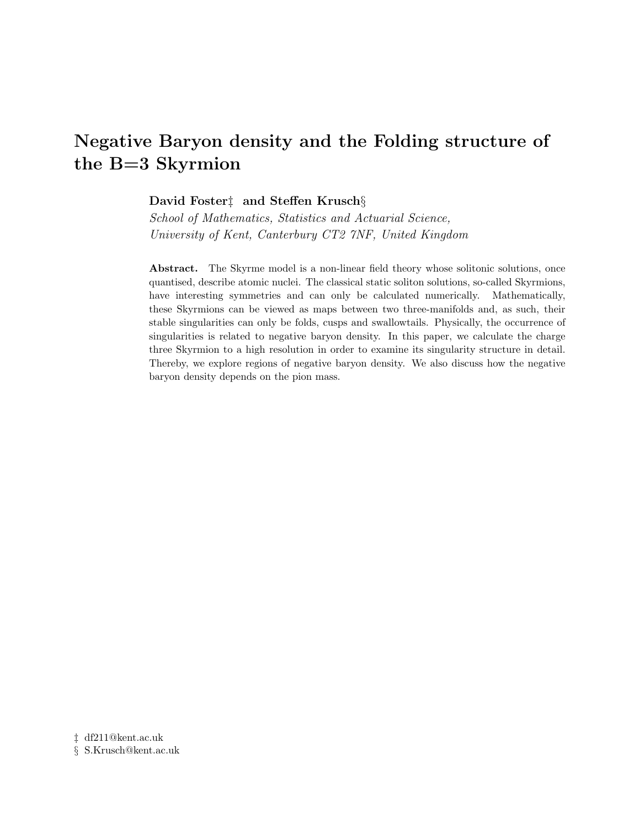## Negative Baryon density and the Folding structure of the B=3 Skyrmion

#### David Foster‡ and Steffen Krusch§

School of Mathematics, Statistics and Actuarial Science, University of Kent, Canterbury CT2 7NF, United Kingdom

Abstract. The Skyrme model is a non-linear field theory whose solitonic solutions, once quantised, describe atomic nuclei. The classical static soliton solutions, so-called Skyrmions, have interesting symmetries and can only be calculated numerically. Mathematically, these Skyrmions can be viewed as maps between two three-manifolds and, as such, their stable singularities can only be folds, cusps and swallowtails. Physically, the occurrence of singularities is related to negative baryon density. In this paper, we calculate the charge three Skyrmion to a high resolution in order to examine its singularity structure in detail. Thereby, we explore regions of negative baryon density. We also discuss how the negative baryon density depends on the pion mass.

‡ df211@kent.ac.uk § S.Krusch@kent.ac.uk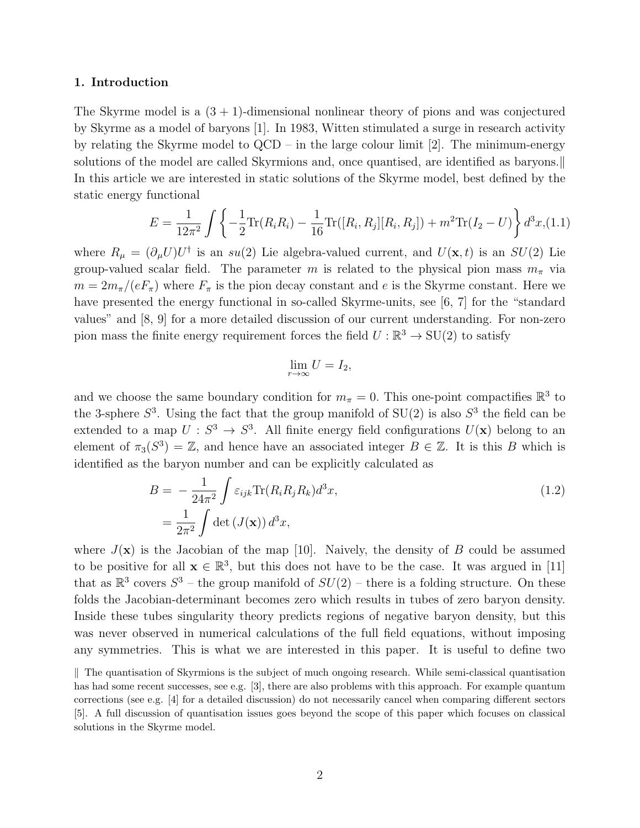#### 1. Introduction

The Skyrme model is a  $(3 + 1)$ -dimensional nonlinear theory of pions and was conjectured by Skyrme as a model of baryons [1]. In 1983, Witten stimulated a surge in research activity by relating the Skyrme model to  $QCD - in$  the large colour limit [2]. The minimum-energy solutions of the model are called Skyrmions and, once quantised, are identified as baryons. In this article we are interested in static solutions of the Skyrme model, best defined by the static energy functional

$$
E = \frac{1}{12\pi^2} \int \left\{ -\frac{1}{2} \text{Tr}(R_i R_i) - \frac{1}{16} \text{Tr}([R_i, R_j][R_i, R_j]) + m^2 \text{Tr}(I_2 - U) \right\} d^3x, (1.1)
$$

where  $R_{\mu} = (\partial_{\mu}U)U^{\dagger}$  is an  $su(2)$  Lie algebra-valued current, and  $U(\mathbf{x},t)$  is an  $SU(2)$  Lie group-valued scalar field. The parameter m is related to the physical pion mass  $m_{\pi}$  via  $m = 2m_{\pi}/(eF_{\pi})$  where  $F_{\pi}$  is the pion decay constant and e is the Skyrme constant. Here we have presented the energy functional in so-called Skyrme-units, see [6, 7] for the "standard values" and [8, 9] for a more detailed discussion of our current understanding. For non-zero pion mass the finite energy requirement forces the field  $U : \mathbb{R}^3 \to SU(2)$  to satisfy

$$
\lim_{r \to \infty} U = I_2,
$$

and we choose the same boundary condition for  $m_{\pi} = 0$ . This one-point compactifies  $\mathbb{R}^3$  to the 3-sphere  $S^3$ . Using the fact that the group manifold of  $SU(2)$  is also  $S^3$  the field can be extended to a map  $U: S^3 \to S^3$ . All finite energy field configurations  $U(\mathbf{x})$  belong to an element of  $\pi_3(S^3) = \mathbb{Z}$ , and hence have an associated integer  $B \in \mathbb{Z}$ . It is this B which is identified as the baryon number and can be explicitly calculated as

$$
B = -\frac{1}{24\pi^2} \int \varepsilon_{ijk} \text{Tr}(R_i R_j R_k) d^3 x,
$$
  
= 
$$
\frac{1}{2\pi^2} \int \det (J(\mathbf{x})) d^3 x,
$$
 (1.2)

where  $J(\mathbf{x})$  is the Jacobian of the map [10]. Naively, the density of B could be assumed to be positive for all  $\mathbf{x} \in \mathbb{R}^3$ , but this does not have to be the case. It was argued in [11] that as  $\mathbb{R}^3$  covers  $S^3$  – the group manifold of  $SU(2)$  – there is a folding structure. On these folds the Jacobian-determinant becomes zero which results in tubes of zero baryon density. Inside these tubes singularity theory predicts regions of negative baryon density, but this was never observed in numerical calculations of the full field equations, without imposing any symmetries. This is what we are interested in this paper. It is useful to define two

 $\parallel$  The quantisation of Skyrmions is the subject of much ongoing research. While semi-classical quantisation has had some recent successes, see e.g. [3], there are also problems with this approach. For example quantum corrections (see e.g. [4] for a detailed discussion) do not necessarily cancel when comparing different sectors [5]. A full discussion of quantisation issues goes beyond the scope of this paper which focuses on classical solutions in the Skyrme model.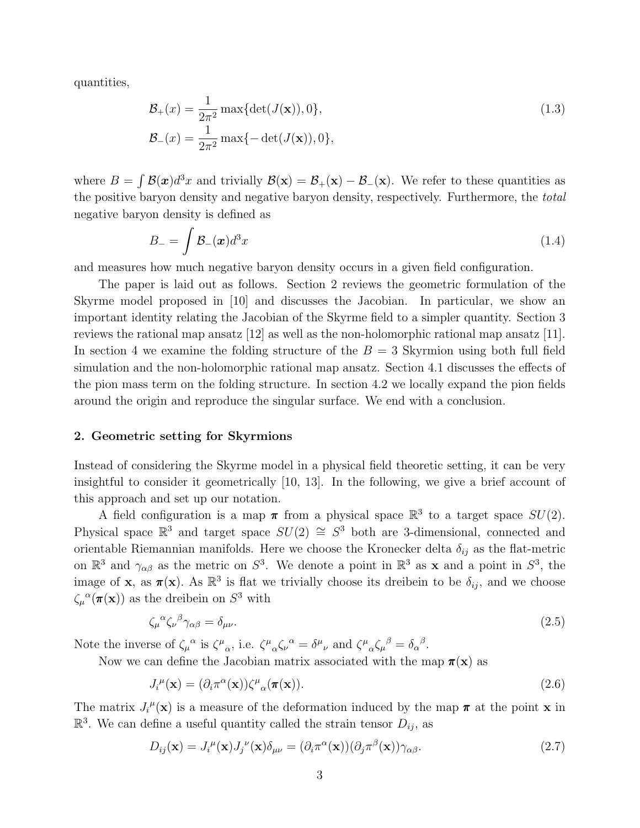quantities,

$$
\mathcal{B}_{+}(x) = \frac{1}{2\pi^{2}} \max\{\det(J(\mathbf{x})), 0\},\
$$
  

$$
\mathcal{B}_{-}(x) = \frac{1}{2\pi^{2}} \max\{-\det(J(\mathbf{x})), 0\},\
$$
 (1.3)

where  $B = \int \mathcal{B}(\boldsymbol{x})d^3x$  and trivially  $\mathcal{B}(\mathbf{x}) = \mathcal{B}_+(\mathbf{x}) - \mathcal{B}_-(\mathbf{x})$ . We refer to these quantities as the positive baryon density and negative baryon density, respectively. Furthermore, the total negative baryon density is defined as

$$
B_{-} = \int \mathcal{B}_{-}(\mathbf{x}) d^{3}x \tag{1.4}
$$

and measures how much negative baryon density occurs in a given field configuration.

The paper is laid out as follows. Section 2 reviews the geometric formulation of the Skyrme model proposed in [10] and discusses the Jacobian. In particular, we show an important identity relating the Jacobian of the Skyrme field to a simpler quantity. Section 3 reviews the rational map ansatz [12] as well as the non-holomorphic rational map ansatz [11]. In section 4 we examine the folding structure of the  $B = 3$  Skyrmion using both full field simulation and the non-holomorphic rational map ansatz. Section 4.1 discusses the effects of the pion mass term on the folding structure. In section 4.2 we locally expand the pion fields around the origin and reproduce the singular surface. We end with a conclusion.

#### 2. Geometric setting for Skyrmions

Instead of considering the Skyrme model in a physical field theoretic setting, it can be very insightful to consider it geometrically [10, 13]. In the following, we give a brief account of this approach and set up our notation.

A field configuration is a map  $\pi$  from a physical space  $\mathbb{R}^3$  to a target space  $SU(2)$ . Physical space  $\mathbb{R}^3$  and target space  $SU(2) \cong S^3$  both are 3-dimensional, connected and orientable Riemannian manifolds. Here we choose the Kronecker delta  $\delta_{ij}$  as the flat-metric on  $\mathbb{R}^3$  and  $\gamma_{\alpha\beta}$  as the metric on  $S^3$ . We denote a point in  $\mathbb{R}^3$  as **x** and a point in  $S^3$ , the image of **x**, as  $\pi(x)$ . As  $\mathbb{R}^3$  is flat we trivially choose its dreibein to be  $\delta_{ij}$ , and we choose  $\zeta_{\mu}^{\alpha}(\pi(\mathbf{x}))$  as the dreibein on  $S^3$  with

$$
\zeta_{\mu}{}^{\alpha}\zeta_{\nu}{}^{\beta}\gamma_{\alpha\beta} = \delta_{\mu\nu}.\tag{2.5}
$$

Note the inverse of  $\zeta_{\mu}^{\alpha}$  is  $\zeta^{\mu}{}_{\alpha}$ , i.e.  $\zeta^{\mu}{}_{\alpha}\zeta_{\nu}^{\alpha} = \delta^{\mu}{}_{\nu}$  and  $\zeta^{\mu}{}_{\alpha}\zeta_{\mu}^{\beta} = \delta_{\alpha}^{\beta}$ .

Now we can define the Jacobian matrix associated with the map  $\pi(\mathbf{x})$  as

$$
J_i^{\mu}(\mathbf{x}) = (\partial_i \pi^{\alpha}(\mathbf{x})) \zeta^{\mu}{}_{\alpha}(\pi(\mathbf{x})).
$$
\n(2.6)

The matrix  $J_i^{\mu}(\mathbf{x})$  is a measure of the deformation induced by the map  $\pi$  at the point **x** in  $\mathbb{R}^3$ . We can define a useful quantity called the strain tensor  $D_{ij}$ , as

$$
D_{ij}(\mathbf{x}) = J_i^{\mu}(\mathbf{x}) J_j^{\nu}(\mathbf{x}) \delta_{\mu\nu} = (\partial_i \pi^{\alpha}(\mathbf{x})) (\partial_j \pi^{\beta}(\mathbf{x})) \gamma_{\alpha\beta}.
$$
\n(2.7)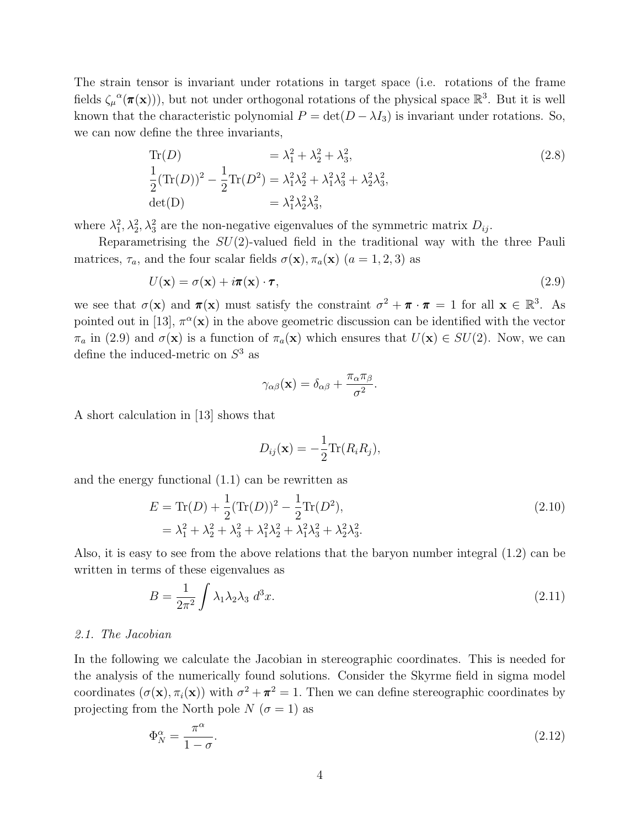The strain tensor is invariant under rotations in target space (i.e. rotations of the frame fields  $\zeta_\mu^{\alpha}(\pi(\mathbf{x})))$ , but not under orthogonal rotations of the physical space  $\mathbb{R}^3$ . But it is well known that the characteristic polynomial  $P = det(D - \lambda I_3)$  is invariant under rotations. So, we can now define the three invariants,

Tr(D) = 
$$
\lambda_1^2 + \lambda_2^2 + \lambda_3^2
$$
,  
\n
$$
\frac{1}{2}(\text{Tr}(D))^2 - \frac{1}{2}\text{Tr}(D^2) = \lambda_1^2\lambda_2^2 + \lambda_1^2\lambda_3^2 + \lambda_2^2\lambda_3^2,
$$
\n
$$
\det(D) = \lambda_1^2\lambda_2^2\lambda_3^2,
$$
\n(2.8)

where  $\lambda_1^2, \lambda_2^2, \lambda_3^2$  are the non-negative eigenvalues of the symmetric matrix  $D_{ij}$ .

Reparametrising the  $SU(2)$ -valued field in the traditional way with the three Pauli matrices,  $\tau_a$ , and the four scalar fields  $\sigma(\mathbf{x}), \pi_a(\mathbf{x})$  ( $a = 1, 2, 3$ ) as

$$
U(\mathbf{x}) = \sigma(\mathbf{x}) + i\pi(\mathbf{x}) \cdot \boldsymbol{\tau},\tag{2.9}
$$

we see that  $\sigma(\mathbf{x})$  and  $\pi(\mathbf{x})$  must satisfy the constraint  $\sigma^2 + \pi \cdot \pi = 1$  for all  $\mathbf{x} \in \mathbb{R}^3$ . As pointed out in [13],  $\pi^{\alpha}(\mathbf{x})$  in the above geometric discussion can be identified with the vector  $\pi_a$  in (2.9) and  $\sigma(\mathbf{x})$  is a function of  $\pi_a(\mathbf{x})$  which ensures that  $U(\mathbf{x}) \in SU(2)$ . Now, we can define the induced-metric on  $S^3$  as

$$
\gamma_{\alpha\beta}(\mathbf{x}) = \delta_{\alpha\beta} + \frac{\pi_{\alpha}\pi_{\beta}}{\sigma^2}.
$$

A short calculation in [13] shows that

$$
D_{ij}(\mathbf{x}) = -\frac{1}{2} \text{Tr}(R_i R_j),
$$

and the energy functional (1.1) can be rewritten as

$$
E = \text{Tr}(D) + \frac{1}{2}(\text{Tr}(D))^2 - \frac{1}{2}\text{Tr}(D^2),
$$
  
=  $\lambda_1^2 + \lambda_2^2 + \lambda_3^2 + \lambda_1^2\lambda_2^2 + \lambda_1^2\lambda_3^2 + \lambda_2^2\lambda_3^2.$  (2.10)

Also, it is easy to see from the above relations that the baryon number integral (1.2) can be written in terms of these eigenvalues as

$$
B = \frac{1}{2\pi^2} \int \lambda_1 \lambda_2 \lambda_3 \ d^3x. \tag{2.11}
$$

#### 2.1. The Jacobian

In the following we calculate the Jacobian in stereographic coordinates. This is needed for the analysis of the numerically found solutions. Consider the Skyrme field in sigma model coordinates  $(\sigma(\mathbf{x}), \pi_i(\mathbf{x}))$  with  $\sigma^2 + \pi^2 = 1$ . Then we can define stereographic coordinates by projecting from the North pole  $N(\sigma = 1)$  as

$$
\Phi_N^{\alpha} = \frac{\pi^{\alpha}}{1 - \sigma}.\tag{2.12}
$$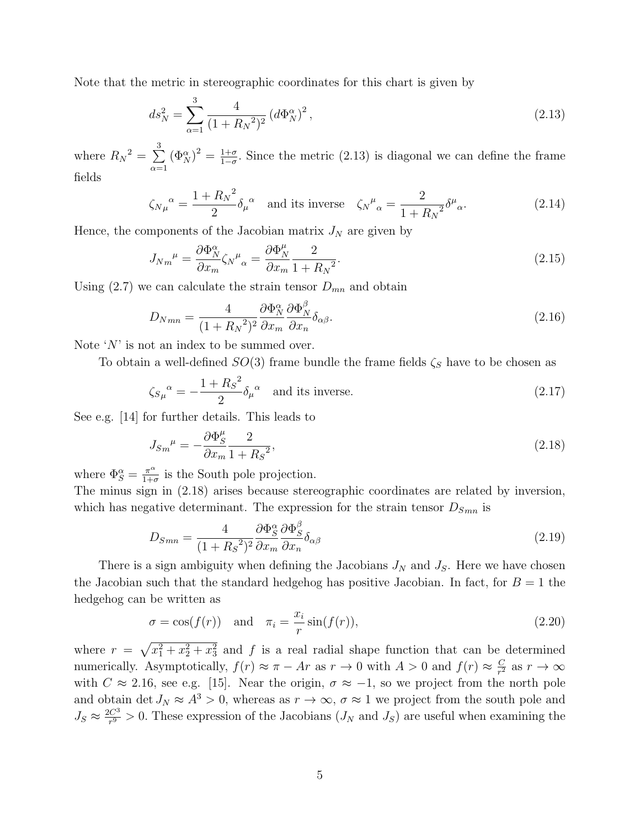Note that the metric in stereographic coordinates for this chart is given by

$$
ds_N^2 = \sum_{\alpha=1}^3 \frac{4}{(1 + R_N^2)^2} \left( d\Phi_N^{\alpha} \right)^2, \tag{2.13}
$$

where  $R_N^2 = \sum$ 3  $\alpha=1$  $(\Phi_N^{\alpha})^2 = \frac{1+\sigma}{1-\sigma}$  $\frac{1+\sigma}{1-\sigma}$ . Since the metric (2.13) is diagonal we can define the frame fields

$$
\zeta_{N\mu}{}^{\alpha} = \frac{1 + R_N{}^2}{2} \delta_{\mu}{}^{\alpha} \quad \text{and its inverse} \quad \zeta_N{}^{\mu}{}_{\alpha} = \frac{2}{1 + R_N{}^2} \delta^{\mu}{}_{\alpha}.\tag{2.14}
$$

Hence, the components of the Jacobian matrix  $J_N$  are given by

$$
J_{Nm}{}^{\mu} = \frac{\partial \Phi_N^{\alpha}}{\partial x_m} \zeta_N{}^{\mu}{}_{\alpha} = \frac{\partial \Phi_N^{\mu}}{\partial x_m} \frac{2}{1 + R_N{}^2}.
$$
\n(2.15)

Using (2.7) we can calculate the strain tensor  $D_{mn}$  and obtain

$$
D_{Nmn} = \frac{4}{(1 + R_N^2)^2} \frac{\partial \Phi_N^{\alpha}}{\partial x_m} \frac{\partial \Phi_N^{\beta}}{\partial x_n} \delta_{\alpha\beta}.
$$
 (2.16)

Note  $'N'$  is not an index to be summed over.

To obtain a well-defined  $SO(3)$  frame bundle the frame fields  $\zeta_s$  have to be chosen as

$$
\zeta_{S\mu}^{\ \alpha} = -\frac{1 + R_S^2}{2} \delta_\mu^{\ \alpha} \quad \text{and its inverse.} \tag{2.17}
$$

See e.g. [14] for further details. This leads to

$$
J_{Sm}^{\mu} = -\frac{\partial \Phi_S^{\mu}}{\partial x_m} \frac{2}{1 + R_S^2},\tag{2.18}
$$

where  $\Phi_S^{\alpha} = \frac{\pi^{\alpha}}{1+\alpha}$  $\frac{\pi^{\alpha}}{1+\sigma}$  is the South pole projection.

The minus sign in (2.18) arises because stereographic coordinates are related by inversion, which has negative determinant. The expression for the strain tensor  $D_{Smn}$  is

$$
D_{Smn} = \frac{4}{(1 + R_S^2)^2} \frac{\partial \Phi_S^{\alpha}}{\partial x_m} \frac{\partial \Phi_S^{\beta}}{\partial x_n} \delta_{\alpha\beta} \tag{2.19}
$$

There is a sign ambiguity when defining the Jacobians  $J_N$  and  $J_S$ . Here we have chosen the Jacobian such that the standard hedgehog has positive Jacobian. In fact, for  $B = 1$  the hedgehog can be written as

$$
\sigma = \cos(f(r)) \quad \text{and} \quad \pi_i = \frac{x_i}{r} \sin(f(r)), \tag{2.20}
$$

where  $r = \sqrt{x_1^2 + x_2^2 + x_3^2}$  and f is a real radial shape function that can be determined numerically. Asymptotically,  $f(r) \approx \pi - Ar$  as  $r \to 0$  with  $A > 0$  and  $f(r) \approx \frac{C}{r^2}$  $\frac{C}{r^2}$  as  $r \to \infty$ with  $C \approx 2.16$ , see e.g. [15]. Near the origin,  $\sigma \approx -1$ , so we project from the north pole and obtain det  $J_N \approx A^3 > 0$ , whereas as  $r \to \infty$ ,  $\sigma \approx 1$  we project from the south pole and  $J_S \approx \frac{2C^3}{r^9}$  $\frac{C^3}{r^9} > 0$ . These expression of the Jacobians  $(J_N \text{ and } J_S)$  are useful when examining the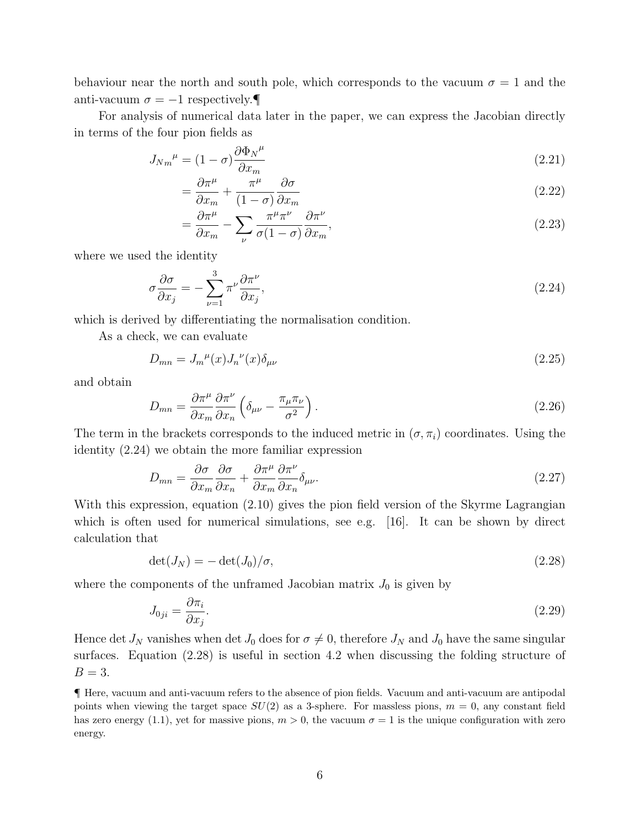behaviour near the north and south pole, which corresponds to the vacuum  $\sigma = 1$  and the anti-vacuum  $\sigma = -1$  respectively.

For analysis of numerical data later in the paper, we can express the Jacobian directly in terms of the four pion fields as

$$
J_{Nm}{}^{\mu} = (1 - \sigma) \frac{\partial \Phi_N{}^{\mu}}{\partial x_m} \tag{2.21}
$$

$$
=\frac{\partial \pi^{\mu}}{\partial x_m} + \frac{\pi^{\mu}}{(1-\sigma)} \frac{\partial \sigma}{\partial x_m} \tag{2.22}
$$

$$
= \frac{\partial \pi^{\mu}}{\partial x_m} - \sum_{\nu} \frac{\pi^{\mu} \pi^{\nu}}{\sigma (1 - \sigma)} \frac{\partial \pi^{\nu}}{\partial x_m},
$$
\n(2.23)

where we used the identity

$$
\sigma \frac{\partial \sigma}{\partial x_j} = -\sum_{\nu=1}^3 \pi^\nu \frac{\partial \pi^\nu}{\partial x_j},\tag{2.24}
$$

which is derived by differentiating the normalisation condition.

As a check, we can evaluate

$$
D_{mn} = J_m^{\mu}(x) J_n^{\nu}(x) \delta_{\mu\nu}
$$
\n(2.25)

and obtain

$$
D_{mn} = \frac{\partial \pi^{\mu}}{\partial x_m} \frac{\partial \pi^{\nu}}{\partial x_n} \left( \delta_{\mu\nu} - \frac{\pi_{\mu} \pi_{\nu}}{\sigma^2} \right). \tag{2.26}
$$

The term in the brackets corresponds to the induced metric in  $(\sigma, \pi_i)$  coordinates. Using the identity (2.24) we obtain the more familiar expression

$$
D_{mn} = \frac{\partial \sigma}{\partial x_m} \frac{\partial \sigma}{\partial x_n} + \frac{\partial \pi^{\mu}}{\partial x_m} \frac{\partial \pi^{\nu}}{\partial x_n} \delta_{\mu\nu}.
$$
 (2.27)

With this expression, equation (2.10) gives the pion field version of the Skyrme Lagrangian which is often used for numerical simulations, see e.g. [16]. It can be shown by direct calculation that

$$
\det(J_N) = -\det(J_0)/\sigma,\tag{2.28}
$$

where the components of the unframed Jacobian matrix  $J_0$  is given by

$$
J_{0ji} = \frac{\partial \pi_i}{\partial x_j}.\tag{2.29}
$$

Hence det  $J_N$  vanishes when det  $J_0$  does for  $\sigma \neq 0$ , therefore  $J_N$  and  $J_0$  have the same singular surfaces. Equation (2.28) is useful in section 4.2 when discussing the folding structure of  $B=3$ .

¶ Here, vacuum and anti-vacuum refers to the absence of pion fields. Vacuum and anti-vacuum are antipodal points when viewing the target space  $SU(2)$  as a 3-sphere. For massless pions,  $m = 0$ , any constant field has zero energy (1.1), yet for massive pions,  $m > 0$ , the vacuum  $\sigma = 1$  is the unique configuration with zero energy.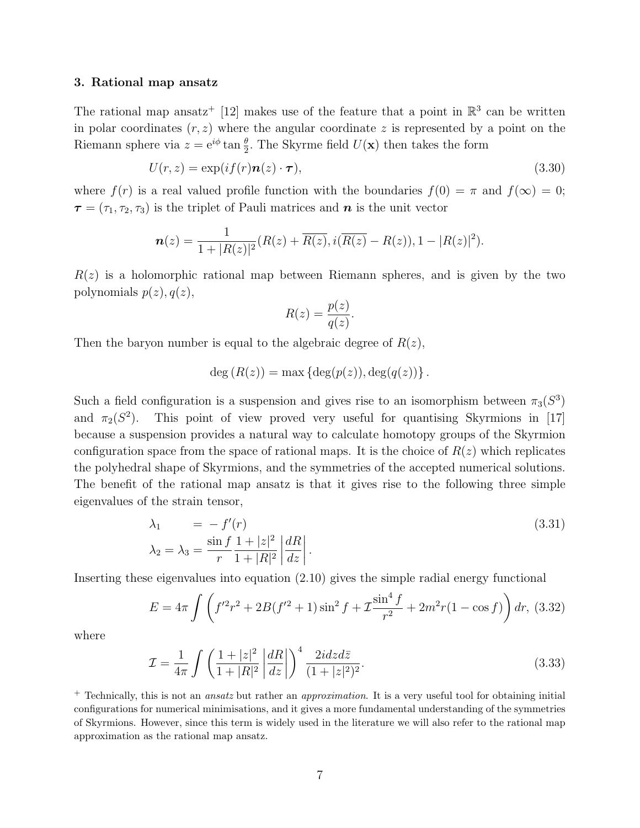#### 3. Rational map ansatz

The rational map ansatz<sup>+</sup> [12] makes use of the feature that a point in  $\mathbb{R}^3$  can be written in polar coordinates  $(r, z)$  where the angular coordinate z is represented by a point on the Riemann sphere via  $z = e^{i\phi} \tan \frac{\theta}{2}$ . The Skyrme field  $U(\mathbf{x})$  then takes the form

$$
U(r,z) = \exp(if(r)\mathbf{n}(z)\cdot\boldsymbol{\tau}),\tag{3.30}
$$

where  $f(r)$  is a real valued profile function with the boundaries  $f(0) = \pi$  and  $f(\infty) = 0$ ;  $\boldsymbol{\tau} = (\tau_1, \tau_2, \tau_3)$  is the triplet of Pauli matrices and  $\boldsymbol{n}$  is the unit vector

$$
\mathbf{n}(z) = \frac{1}{1+|R(z)|^2} (R(z)+\overline{R(z)}, i(\overline{R(z)}-R(z)), 1-|R(z)|^2).
$$

 $R(z)$  is a holomorphic rational map between Riemann spheres, and is given by the two polynomials  $p(z)$ ,  $q(z)$ ,

$$
R(z) = \frac{p(z)}{q(z)}.
$$

Then the baryon number is equal to the algebraic degree of  $R(z)$ ,

$$
deg(R(z)) = max{deg(p(z)), deg(q(z))}.
$$

Such a field configuration is a suspension and gives rise to an isomorphism between  $\pi_3(S^3)$ and  $\pi_2(S^2)$ ). This point of view proved very useful for quantising Skyrmions in [17] because a suspension provides a natural way to calculate homotopy groups of the Skyrmion configuration space from the space of rational maps. It is the choice of  $R(z)$  which replicates the polyhedral shape of Skyrmions, and the symmetries of the accepted numerical solutions. The benefit of the rational map ansatz is that it gives rise to the following three simple eigenvalues of the strain tensor,

$$
\lambda_1 = -f'(r) \tag{3.31}
$$
\n
$$
\lambda_2 = \lambda_3 = \frac{\sin f}{r} \frac{1 + |z|^2}{1 + |R|^2} \left| \frac{dR}{dz} \right|.
$$

Inserting these eigenvalues into equation (2.10) gives the simple radial energy functional

$$
E = 4\pi \int \left( f'^2 r^2 + 2B(f'^2 + 1)\sin^2 f + 2\frac{\sin^4 f}{r^2} + 2m^2 r(1 - \cos f) \right) dr, (3.32)
$$

where

$$
\mathcal{I} = \frac{1}{4\pi} \int \left( \frac{1+|z|^2}{1+|R|^2} \left| \frac{dR}{dz} \right| \right)^4 \frac{2i dz d\bar{z}}{(1+|z|^2)^2}.
$$
\n(3.33)

<sup>+</sup> Technically, this is not an *ansatz* but rather an *approximation*. It is a very useful tool for obtaining initial configurations for numerical minimisations, and it gives a more fundamental understanding of the symmetries of Skyrmions. However, since this term is widely used in the literature we will also refer to the rational map approximation as the rational map ansatz.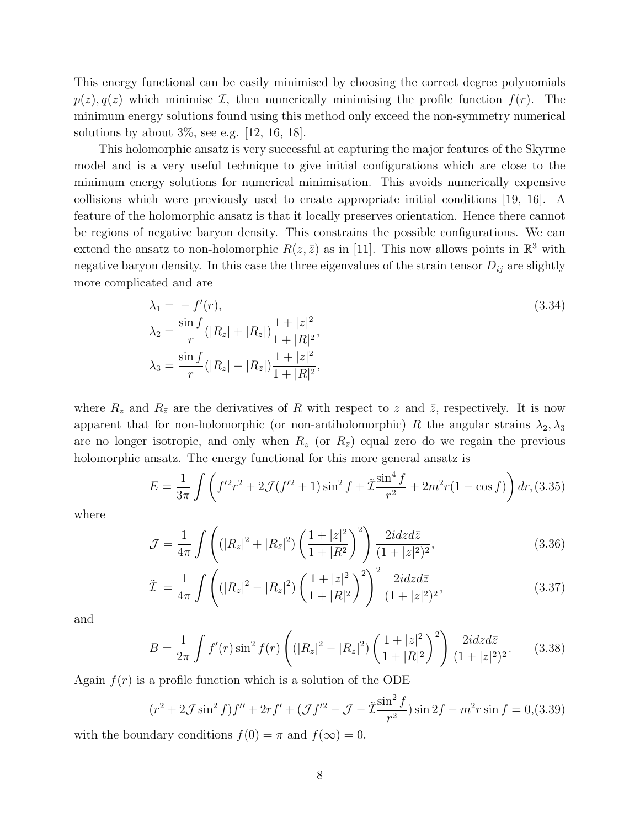This energy functional can be easily minimised by choosing the correct degree polynomials  $p(z), q(z)$  which minimise *I*, then numerically minimising the profile function  $f(r)$ . The minimum energy solutions found using this method only exceed the non-symmetry numerical solutions by about  $3\%$ , see e.g. [12, 16, 18].

This holomorphic ansatz is very successful at capturing the major features of the Skyrme model and is a very useful technique to give initial configurations which are close to the minimum energy solutions for numerical minimisation. This avoids numerically expensive collisions which were previously used to create appropriate initial conditions [19, 16]. A feature of the holomorphic ansatz is that it locally preserves orientation. Hence there cannot be regions of negative baryon density. This constrains the possible configurations. We can extend the ansatz to non-holomorphic  $R(z, \bar{z})$  as in [11]. This now allows points in  $\mathbb{R}^3$  with negative baryon density. In this case the three eigenvalues of the strain tensor  $D_{ij}$  are slightly more complicated and are

$$
\lambda_1 = -f'(r),
$$
\n
$$
\lambda_2 = \frac{\sin f}{r} (|R_z| + |R_{\bar{z}}|) \frac{1 + |z|^2}{1 + |R|^2},
$$
\n
$$
\lambda_3 = \frac{\sin f}{r} (|R_z| - |R_{\bar{z}}|) \frac{1 + |z|^2}{1 + |R|^2},
$$
\n(3.34)

where  $R_z$  and  $R_{\bar{z}}$  are the derivatives of R with respect to z and  $\bar{z}$ , respectively. It is now apparent that for non-holomorphic (or non-antiholomorphic) R the angular strains  $\lambda_2, \lambda_3$ are no longer isotropic, and only when  $R_z$  (or  $R_{\bar{z}}$ ) equal zero do we regain the previous holomorphic ansatz. The energy functional for this more general ansatz is

$$
E = \frac{1}{3\pi} \int \left( f'^2 r^2 + 2\mathcal{J}(f'^2 + 1) \sin^2 f + \tilde{\mathcal{I}} \frac{\sin^4 f}{r^2} + 2m^2 r (1 - \cos f) \right) dr, (3.35)
$$

where

$$
\mathcal{J} = \frac{1}{4\pi} \int \left( (|R_z|^2 + |R_{\bar{z}}|^2) \left( \frac{1 + |z|^2}{1 + |R^2} \right)^2 \right) \frac{2i dz d\bar{z}}{(1 + |z|^2)^2},\tag{3.36}
$$

$$
\tilde{\mathcal{I}} = \frac{1}{4\pi} \int \left( (|R_z|^2 - |R_{\bar{z}}|^2) \left( \frac{1 + |z|^2}{1 + |R|^2} \right)^2 \right)^2 \frac{2i dz d\bar{z}}{(1 + |z|^2)^2},\tag{3.37}
$$

and

$$
B = \frac{1}{2\pi} \int f'(r) \sin^2 f(r) \left( (|R_z|^2 - |R_{\bar{z}}|^2) \left( \frac{1 + |z|^2}{1 + |R|^2} \right)^2 \right) \frac{2i dz d\bar{z}}{(1 + |z|^2)^2}.
$$
 (3.38)

Again  $f(r)$  is a profile function which is a solution of the ODE

$$
(r^{2} + 2\mathcal{J}\sin^{2} f)f'' + 2rf' + (\mathcal{J}f'^{2} - \mathcal{J} - \tilde{\mathcal{I}}\frac{\sin^{2} f}{r^{2}})\sin 2f - m^{2}r\sin f = 0, (3.39)
$$

with the boundary conditions  $f(0) = \pi$  and  $f(\infty) = 0$ .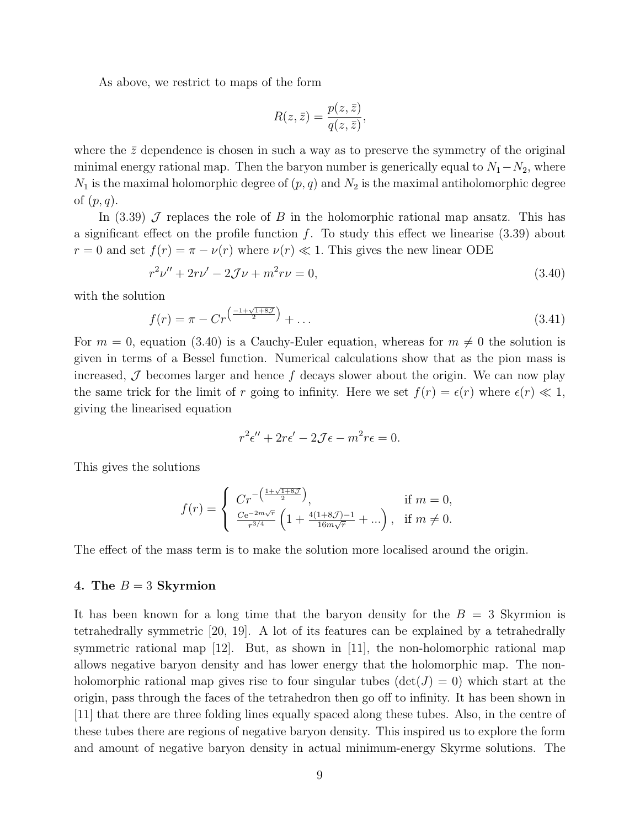As above, we restrict to maps of the form

$$
R(z,\bar{z}) = \frac{p(z,\bar{z})}{q(z,\bar{z})},
$$

where the  $\bar{z}$  dependence is chosen in such a way as to preserve the symmetry of the original minimal energy rational map. Then the baryon number is generically equal to  $N_1-N_2$ , where  $N_1$  is the maximal holomorphic degree of  $(p, q)$  and  $N_2$  is the maximal antiholomorphic degree of  $(p, q)$ .

In (3.39)  $\cal J$  replaces the role of B in the holomorphic rational map ansatz. This has a significant effect on the profile function  $f$ . To study this effect we linearise (3.39) about  $r = 0$  and set  $f(r) = \pi - \nu(r)$  where  $\nu(r) \ll 1$ . This gives the new linear ODE

$$
r^2\nu'' + 2r\nu' - 2\mathcal{J}\nu + m^2r\nu = 0,\tag{3.40}
$$

with the solution

$$
f(r) = \pi - Cr^{\left(\frac{-1+\sqrt{1+8\mathcal{J}}}{2}\right)} + \dots \tag{3.41}
$$

For  $m = 0$ , equation (3.40) is a Cauchy-Euler equation, whereas for  $m \neq 0$  the solution is given in terms of a Bessel function. Numerical calculations show that as the pion mass is increased,  $\mathcal J$  becomes larger and hence  $f$  decays slower about the origin. We can now play the same trick for the limit of r going to infinity. Here we set  $f(r) = \epsilon(r)$  where  $\epsilon(r) \ll 1$ , giving the linearised equation

$$
r^2\epsilon'' + 2r\epsilon' - 2\mathcal{J}\epsilon - m^2r\epsilon = 0.
$$

This gives the solutions

$$
f(r) = \begin{cases} Cr^{-\left(\frac{1+\sqrt{1+8\mathcal{J}}}{2}\right)}, & \text{if } m = 0, \\ \frac{Ce^{-2m\sqrt{r}}}{r^{3/4}} \left(1 + \frac{4(1+8\mathcal{J})-1}{16m\sqrt{r}} + ...\right), & \text{if } m \neq 0. \end{cases}
$$

The effect of the mass term is to make the solution more localised around the origin.

#### 4. The  $B = 3$  Skyrmion

It has been known for a long time that the baryon density for the  $B = 3$  Skyrmion is tetrahedrally symmetric [20, 19]. A lot of its features can be explained by a tetrahedrally symmetric rational map [12]. But, as shown in [11], the non-holomorphic rational map allows negative baryon density and has lower energy that the holomorphic map. The nonholomorphic rational map gives rise to four singular tubes  $(\det(J) = 0)$  which start at the origin, pass through the faces of the tetrahedron then go off to infinity. It has been shown in [11] that there are three folding lines equally spaced along these tubes. Also, in the centre of these tubes there are regions of negative baryon density. This inspired us to explore the form and amount of negative baryon density in actual minimum-energy Skyrme solutions. The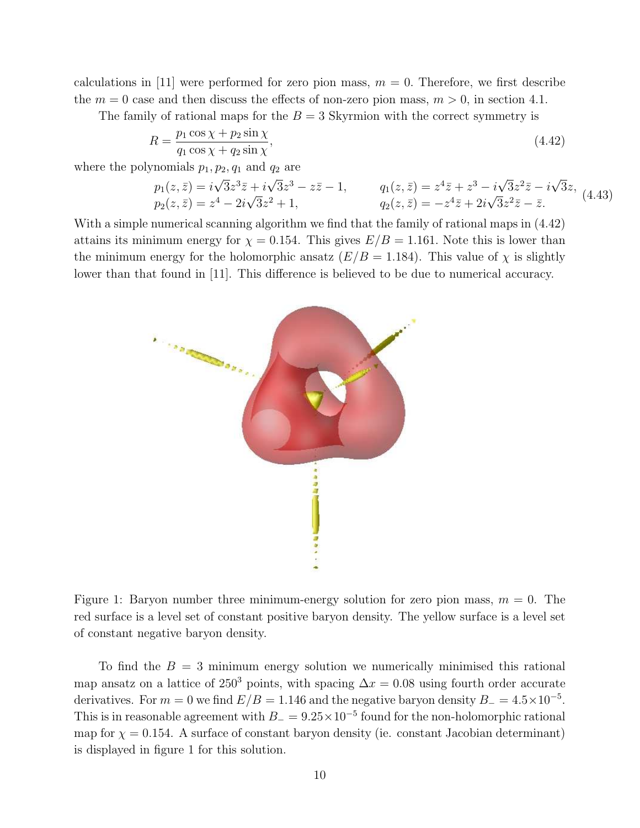calculations in [11] were performed for zero pion mass,  $m = 0$ . Therefore, we first describe the  $m = 0$  case and then discuss the effects of non-zero pion mass,  $m > 0$ , in section 4.1.

The family of rational maps for the  $B = 3$  Skyrmion with the correct symmetry is

$$
R = \frac{p_1 \cos \chi + p_2 \sin \chi}{q_1 \cos \chi + q_2 \sin \chi},\tag{4.42}
$$

where the polynomials  $p_1, p_2, q_1$  and  $q_2$  are

$$
p_1(z,\bar{z}) = i\sqrt{3}z^3 \bar{z} + i\sqrt{3}z^3 - z\bar{z} - 1, \qquad q_1(z,\bar{z}) = z^4 \bar{z} + z^3 - i\sqrt{3}z^2 \bar{z} - i\sqrt{3}z, p_2(z,\bar{z}) = z^4 - 2i\sqrt{3}z^2 + 1, \qquad q_2(z,\bar{z}) = -z^4 \bar{z} + 2i\sqrt{3}z^2 \bar{z} - \bar{z}.
$$
 (4.43)

With a simple numerical scanning algorithm we find that the family of rational maps in (4.42) attains its minimum energy for  $\chi = 0.154$ . This gives  $E/B = 1.161$ . Note this is lower than the minimum energy for the holomorphic ansatz  $(E/B = 1.184)$ . This value of  $\chi$  is slightly lower than that found in [11]. This difference is believed to be due to numerical accuracy.



Figure 1: Baryon number three minimum-energy solution for zero pion mass,  $m = 0$ . The red surface is a level set of constant positive baryon density. The yellow surface is a level set of constant negative baryon density.

To find the  $B = 3$  minimum energy solution we numerically minimised this rational map ansatz on a lattice of 250<sup>3</sup> points, with spacing  $\Delta x = 0.08$  using fourth order accurate derivatives. For  $m = 0$  we find  $E/B = 1.146$  and the negative baryon density  $B = 4.5 \times 10^{-5}$ . This is in reasonable agreement with  $B_ = 9.25 \times 10^{-5}$  found for the non-holomorphic rational map for  $\chi = 0.154$ . A surface of constant baryon density (ie. constant Jacobian determinant) is displayed in figure 1 for this solution.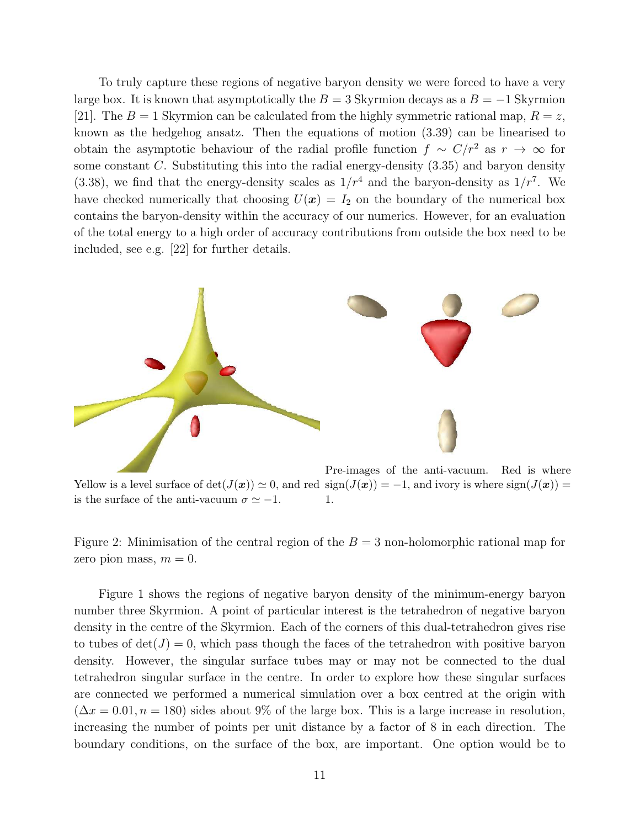To truly capture these regions of negative baryon density we were forced to have a very large box. It is known that asymptotically the  $B = 3$  Skyrmion decays as a  $B = -1$  Skyrmion [21]. The  $B = 1$  Skyrmion can be calculated from the highly symmetric rational map,  $R = z$ , known as the hedgehog ansatz. Then the equations of motion (3.39) can be linearised to obtain the asymptotic behaviour of the radial profile function  $f \sim C/r^2$  as  $r \to \infty$  for some constant  $C$ . Substituting this into the radial energy-density  $(3.35)$  and baryon density  $(3.38)$ , we find that the energy-density scales as  $1/r<sup>4</sup>$  and the baryon-density as  $1/r<sup>7</sup>$ . We have checked numerically that choosing  $U(x) = I_2$  on the boundary of the numerical box contains the baryon-density within the accuracy of our numerics. However, for an evaluation of the total energy to a high order of accuracy contributions from outside the box need to be included, see e.g. [22] for further details.



Yellow is a level surface of  $\det(J(\boldsymbol{x})) \simeq 0$ , and red  $\text{sign}(J(\boldsymbol{x})) = -1$ , and ivory is where  $\text{sign}(J(\boldsymbol{x})) =$ is the surface of the anti-vacuum  $\sigma \simeq -1$ . 1.

Figure 2: Minimisation of the central region of the  $B = 3$  non-holomorphic rational map for zero pion mass,  $m = 0$ .

Figure 1 shows the regions of negative baryon density of the minimum-energy baryon number three Skyrmion. A point of particular interest is the tetrahedron of negative baryon density in the centre of the Skyrmion. Each of the corners of this dual-tetrahedron gives rise to tubes of  $\det(J) = 0$ , which pass though the faces of the tetrahedron with positive baryon density. However, the singular surface tubes may or may not be connected to the dual tetrahedron singular surface in the centre. In order to explore how these singular surfaces are connected we performed a numerical simulation over a box centred at the origin with  $(\Delta x = 0.01, n = 180)$  sides about 9% of the large box. This is a large increase in resolution, increasing the number of points per unit distance by a factor of 8 in each direction. The boundary conditions, on the surface of the box, are important. One option would be to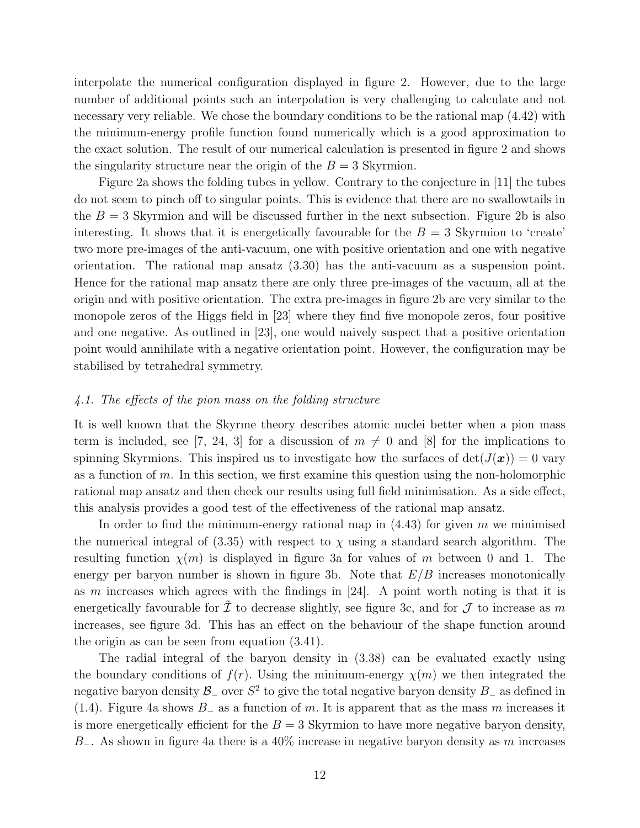interpolate the numerical configuration displayed in figure 2. However, due to the large number of additional points such an interpolation is very challenging to calculate and not necessary very reliable. We chose the boundary conditions to be the rational map (4.42) with the minimum-energy profile function found numerically which is a good approximation to the exact solution. The result of our numerical calculation is presented in figure 2 and shows the singularity structure near the origin of the  $B = 3$  Skyrmion.

Figure 2a shows the folding tubes in yellow. Contrary to the conjecture in [11] the tubes do not seem to pinch off to singular points. This is evidence that there are no swallowtails in the  $B = 3$  Skyrmion and will be discussed further in the next subsection. Figure 2b is also interesting. It shows that it is energetically favourable for the  $B = 3$  Skyrmion to 'create' two more pre-images of the anti-vacuum, one with positive orientation and one with negative orientation. The rational map ansatz (3.30) has the anti-vacuum as a suspension point. Hence for the rational map ansatz there are only three pre-images of the vacuum, all at the origin and with positive orientation. The extra pre-images in figure 2b are very similar to the monopole zeros of the Higgs field in [23] where they find five monopole zeros, four positive and one negative. As outlined in [23], one would naively suspect that a positive orientation point would annihilate with a negative orientation point. However, the configuration may be stabilised by tetrahedral symmetry.

#### 4.1. The effects of the pion mass on the folding structure

It is well known that the Skyrme theory describes atomic nuclei better when a pion mass term is included, see [7, 24, 3] for a discussion of  $m \neq 0$  and [8] for the implications to spinning Skyrmions. This inspired us to investigate how the surfaces of  $det(J(\boldsymbol{x})) = 0$  vary as a function of  $m$ . In this section, we first examine this question using the non-holomorphic rational map ansatz and then check our results using full field minimisation. As a side effect, this analysis provides a good test of the effectiveness of the rational map ansatz.

In order to find the minimum-energy rational map in  $(4.43)$  for given m we minimised the numerical integral of  $(3.35)$  with respect to  $\chi$  using a standard search algorithm. The resulting function  $\chi(m)$  is displayed in figure 3a for values of m between 0 and 1. The energy per baryon number is shown in figure 3b. Note that  $E/B$  increases monotonically as m increases which agrees with the findings in  $[24]$ . A point worth noting is that it is energetically favourable for  $\mathcal I$  to decrease slightly, see figure 3c, and for  $\mathcal J$  to increase as m increases, see figure 3d. This has an effect on the behaviour of the shape function around the origin as can be seen from equation (3.41).

The radial integral of the baryon density in (3.38) can be evaluated exactly using the boundary conditions of  $f(r)$ . Using the minimum-energy  $\chi(m)$  we then integrated the negative baryon density  $\mathcal{B}_-$  over  $S^2$  to give the total negative baryon density  $B_-\$  as defined in (1.4). Figure 4a shows  $B_-\text{ as a function of }m$ . It is apparent that as the mass m increases it is more energetically efficient for the  $B = 3$  Skyrmion to have more negative baryon density, B<sub>−</sub>. As shown in figure 4a there is a 40% increase in negative baryon density as m increases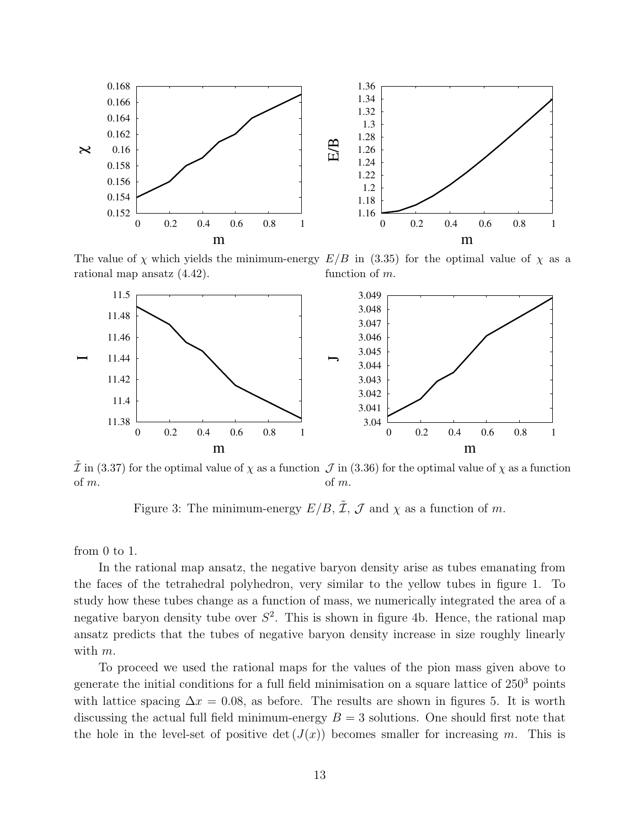

The value of  $\chi$  which yields the minimum-energy  $E/B$  in (3.35) for the optimal value of  $\chi$  as a rational map ansatz (4.42). function of m.



 $\tilde{\mathcal{I}}$  in (3.37) for the optimal value of  $\chi$  as a function  $\mathcal{J}$  in (3.36) for the optimal value of  $\chi$  as a function of m. of m.

Figure 3: The minimum-energy  $E/B$ ,  $\tilde{\mathcal{I}}$ ,  $\mathcal{J}$  and  $\chi$  as a function of m.

from 0 to 1.

In the rational map ansatz, the negative baryon density arise as tubes emanating from the faces of the tetrahedral polyhedron, very similar to the yellow tubes in figure 1. To study how these tubes change as a function of mass, we numerically integrated the area of a negative baryon density tube over  $S^2$ . This is shown in figure 4b. Hence, the rational map ansatz predicts that the tubes of negative baryon density increase in size roughly linearly with  $m$ .

To proceed we used the rational maps for the values of the pion mass given above to generate the initial conditions for a full field minimisation on a square lattice of  $250<sup>3</sup>$  points with lattice spacing  $\Delta x = 0.08$ , as before. The results are shown in figures 5. It is worth discussing the actual full field minimum-energy  $B = 3$  solutions. One should first note that the hole in the level-set of positive det  $(J(x))$  becomes smaller for increasing m. This is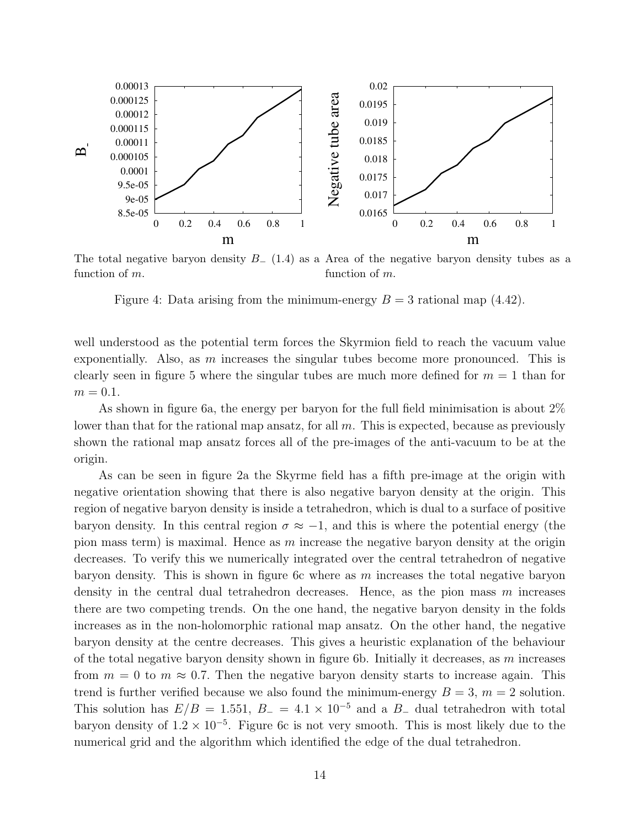

The total negative baryon density  $B_-(1.4)$  as a Area of the negative baryon density tubes as a function of m. function of m.

Figure 4: Data arising from the minimum-energy  $B = 3$  rational map  $(4.42)$ .

well understood as the potential term forces the Skyrmion field to reach the vacuum value exponentially. Also, as  $m$  increases the singular tubes become more pronounced. This is clearly seen in figure 5 where the singular tubes are much more defined for  $m = 1$  than for  $m = 0.1$ .

As shown in figure 6a, the energy per baryon for the full field minimisation is about 2% lower than that for the rational map ansatz, for all m. This is expected, because as previously shown the rational map ansatz forces all of the pre-images of the anti-vacuum to be at the origin.

As can be seen in figure 2a the Skyrme field has a fifth pre-image at the origin with negative orientation showing that there is also negative baryon density at the origin. This region of negative baryon density is inside a tetrahedron, which is dual to a surface of positive baryon density. In this central region  $\sigma \approx -1$ , and this is where the potential energy (the pion mass term) is maximal. Hence as  $m$  increase the negative baryon density at the origin decreases. To verify this we numerically integrated over the central tetrahedron of negative baryon density. This is shown in figure 6c where as  $m$  increases the total negative baryon density in the central dual tetrahedron decreases. Hence, as the pion mass  $m$  increases there are two competing trends. On the one hand, the negative baryon density in the folds increases as in the non-holomorphic rational map ansatz. On the other hand, the negative baryon density at the centre decreases. This gives a heuristic explanation of the behaviour of the total negative baryon density shown in figure 6b. Initially it decreases, as  $m$  increases from  $m = 0$  to  $m \approx 0.7$ . Then the negative baryon density starts to increase again. This trend is further verified because we also found the minimum-energy  $B = 3$ ,  $m = 2$  solution. This solution has  $E/B = 1.551, B_- = 4.1 \times 10^{-5}$  and a B<sub>-</sub> dual tetrahedron with total baryon density of  $1.2 \times 10^{-5}$ . Figure 6c is not very smooth. This is most likely due to the numerical grid and the algorithm which identified the edge of the dual tetrahedron.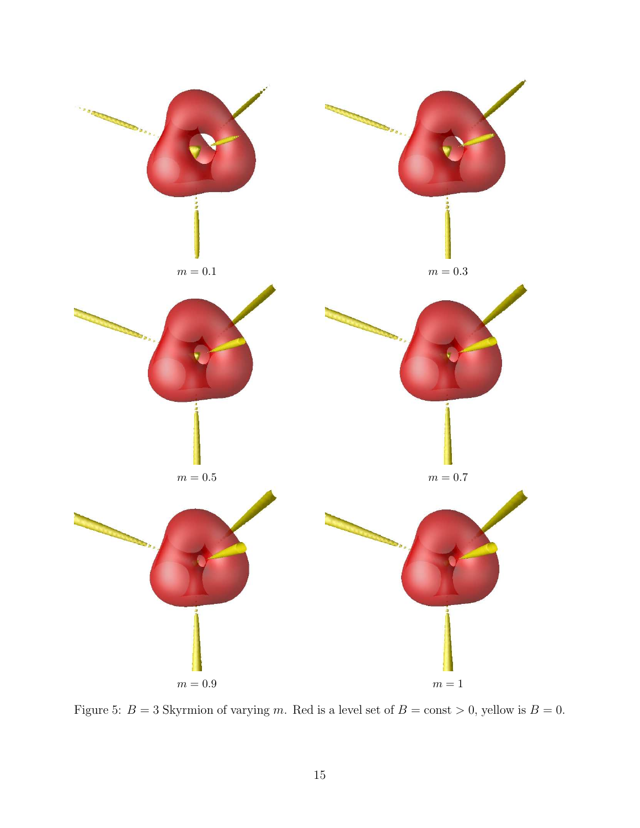

Figure 5:  $B = 3$  Skyrmion of varying m. Red is a level set of  $B = \text{const} > 0$ , yellow is  $B = 0$ .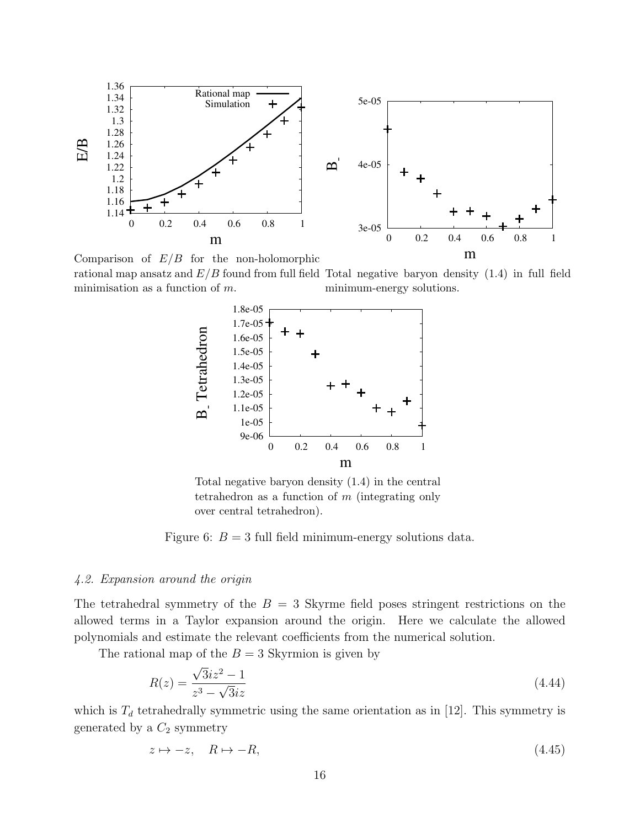

Comparison of  $E/B$  for the non-holomorphic rational map ansatz and  $E/B$  found from full field Total negative baryon density  $(1.4)$  in full field minimisation as a function of m.

minimum-energy solutions.



Total negative baryon density (1.4) in the central tetrahedron as a function of m (integrating only over central tetrahedron).

Figure 6:  $B = 3$  full field minimum-energy solutions data.

#### 4.2. Expansion around the origin

The tetrahedral symmetry of the  $B = 3$  Skyrme field poses stringent restrictions on the allowed terms in a Taylor expansion around the origin. Here we calculate the allowed polynomials and estimate the relevant coefficients from the numerical solution.

The rational map of the  $B = 3$  Skyrmion is given by

$$
R(z) = \frac{\sqrt{3}iz^2 - 1}{z^3 - \sqrt{3}iz} \tag{4.44}
$$

which is  $T_d$  tetrahedrally symmetric using the same orientation as in [12]. This symmetry is generated by a  $C_2$  symmetry

$$
z \mapsto -z, \quad R \mapsto -R,\tag{4.45}
$$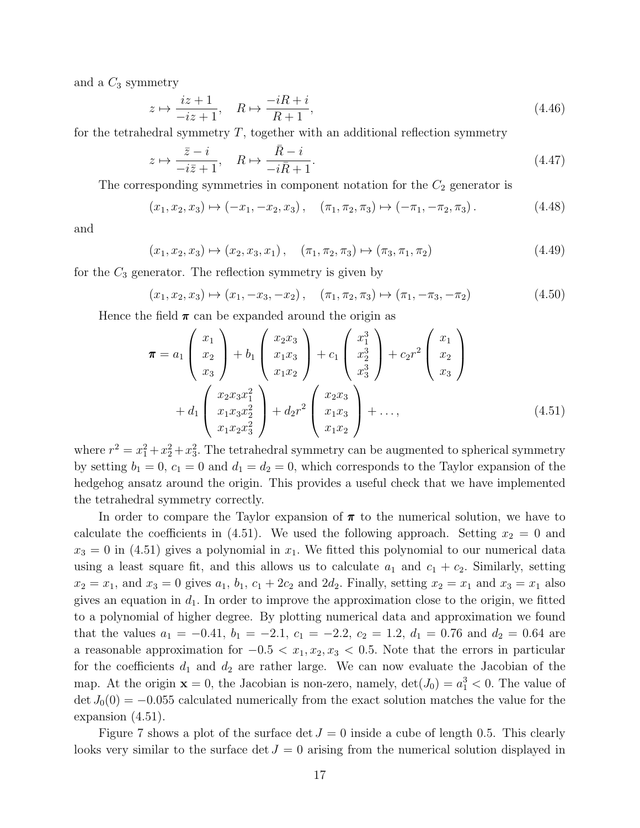and a  $C_3$  symmetry

$$
z \mapsto \frac{iz+1}{-iz+1}, \quad R \mapsto \frac{-iR+i}{R+1}, \tag{4.46}
$$

for the tetrahedral symmetry  $T$ , together with an additional reflection symmetry

$$
z \mapsto \frac{\bar{z} - i}{-i\bar{z} + 1}, \quad R \mapsto \frac{\bar{R} - i}{-i\bar{R} + 1}.
$$
\n(4.47)

The corresponding symmetries in component notation for the  $C_2$  generator is

$$
(x_1, x_2, x_3) \mapsto (-x_1, -x_2, x_3), \quad (\pi_1, \pi_2, \pi_3) \mapsto (-\pi_1, -\pi_2, \pi_3).
$$
 (4.48)

and

$$
(x_1, x_2, x_3) \mapsto (x_2, x_3, x_1), \quad (\pi_1, \pi_2, \pi_3) \mapsto (\pi_3, \pi_1, \pi_2)
$$
 (4.49)

for the  $C_3$  generator. The reflection symmetry is given by

$$
(x_1, x_2, x_3) \mapsto (x_1, -x_3, -x_2), \quad (\pi_1, \pi_2, \pi_3) \mapsto (\pi_1, -\pi_3, -\pi_2) \tag{4.50}
$$

Hence the field  $\pi$  can be expanded around the origin as

$$
\boldsymbol{\pi} = a_1 \begin{pmatrix} x_1 \\ x_2 \\ x_3 \end{pmatrix} + b_1 \begin{pmatrix} x_2 x_3 \\ x_1 x_3 \\ x_1 x_2 \end{pmatrix} + c_1 \begin{pmatrix} x_1^3 \\ x_2^3 \\ x_3^3 \end{pmatrix} + c_2 r^2 \begin{pmatrix} x_1 \\ x_2 \\ x_3 \end{pmatrix} + d_1 \begin{pmatrix} x_2 x_3 x_1^2 \\ x_1 x_3 x_2^2 \\ x_1 x_2 x_3^2 \end{pmatrix} + d_2 r^2 \begin{pmatrix} x_2 x_3 \\ x_1 x_3 \\ x_1 x_2 \end{pmatrix} + \dots,
$$
\n(4.51)

where  $r^2 = x_1^2 + x_2^2 + x_3^2$ . The tetrahedral symmetry can be augmented to spherical symmetry by setting  $b_1 = 0$ ,  $c_1 = 0$  and  $d_1 = d_2 = 0$ , which corresponds to the Taylor expansion of the hedgehog ansatz around the origin. This provides a useful check that we have implemented the tetrahedral symmetry correctly.

In order to compare the Taylor expansion of  $\pi$  to the numerical solution, we have to calculate the coefficients in (4.51). We used the following approach. Setting  $x_2 = 0$  and  $x_3 = 0$  in (4.51) gives a polynomial in  $x_1$ . We fitted this polynomial to our numerical data using a least square fit, and this allows us to calculate  $a_1$  and  $c_1 + c_2$ . Similarly, setting  $x_2 = x_1$ , and  $x_3 = 0$  gives  $a_1, b_1, c_1 + 2c_2$  and  $2d_2$ . Finally, setting  $x_2 = x_1$  and  $x_3 = x_1$  also gives an equation in  $d_1$ . In order to improve the approximation close to the origin, we fitted to a polynomial of higher degree. By plotting numerical data and approximation we found that the values  $a_1 = -0.41$ ,  $b_1 = -2.1$ ,  $c_1 = -2.2$ ,  $c_2 = 1.2$ ,  $d_1 = 0.76$  and  $d_2 = 0.64$  are a reasonable approximation for  $-0.5 < x_1, x_2, x_3 < 0.5$ . Note that the errors in particular for the coefficients  $d_1$  and  $d_2$  are rather large. We can now evaluate the Jacobian of the map. At the origin  $\mathbf{x} = 0$ , the Jacobian is non-zero, namely,  $\det(J_0) = a_1^3 < 0$ . The value of  $\det J_0(0) = -0.055$  calculated numerically from the exact solution matches the value for the expansion (4.51).

Figure 7 shows a plot of the surface det  $J = 0$  inside a cube of length 0.5. This clearly looks very similar to the surface det  $J = 0$  arising from the numerical solution displayed in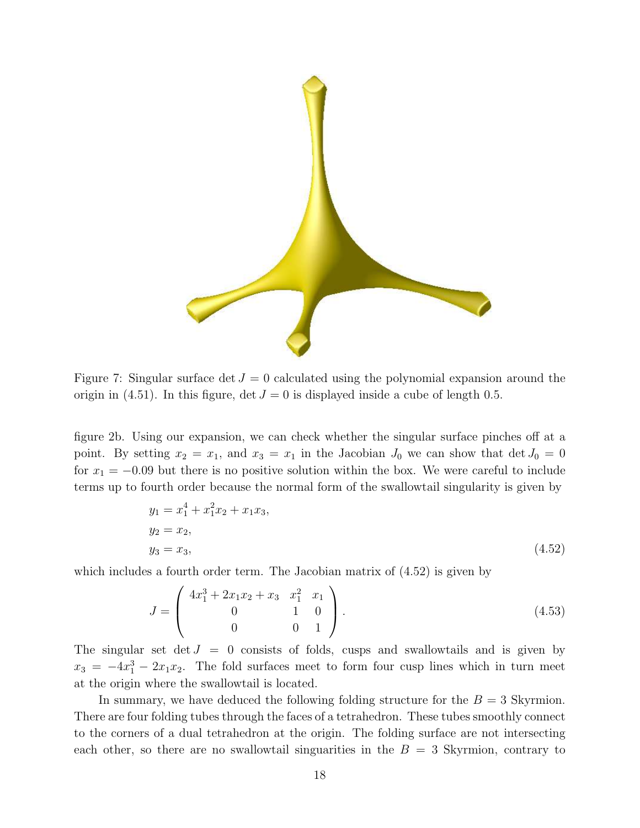

Figure 7: Singular surface det  $J = 0$  calculated using the polynomial expansion around the origin in (4.51). In this figure,  $\det J = 0$  is displayed inside a cube of length 0.5.

figure 2b. Using our expansion, we can check whether the singular surface pinches off at a point. By setting  $x_2 = x_1$ , and  $x_3 = x_1$  in the Jacobian  $J_0$  we can show that  $\det J_0 = 0$ for  $x_1 = -0.09$  but there is no positive solution within the box. We were careful to include terms up to fourth order because the normal form of the swallowtail singularity is given by

$$
y_1 = x_1^4 + x_1^2 x_2 + x_1 x_3,
$$
  
\n
$$
y_2 = x_2,
$$
  
\n
$$
y_3 = x_3,
$$
\n(4.52)

which includes a fourth order term. The Jacobian matrix of (4.52) is given by

$$
J = \begin{pmatrix} 4x_1^3 + 2x_1x_2 + x_3 & x_1^2 & x_1 \\ 0 & 1 & 0 \\ 0 & 0 & 1 \end{pmatrix}.
$$
 (4.53)

The singular set det  $J = 0$  consists of folds, cusps and swallowtails and is given by  $x_3 = -4x_1^3 - 2x_1x_2$ . The fold surfaces meet to form four cusp lines which in turn meet at the origin where the swallowtail is located.

In summary, we have deduced the following folding structure for the  $B = 3$  Skyrmion. There are four folding tubes through the faces of a tetrahedron. These tubes smoothly connect to the corners of a dual tetrahedron at the origin. The folding surface are not intersecting each other, so there are no swallowtail singuarities in the  $B = 3$  Skyrmion, contrary to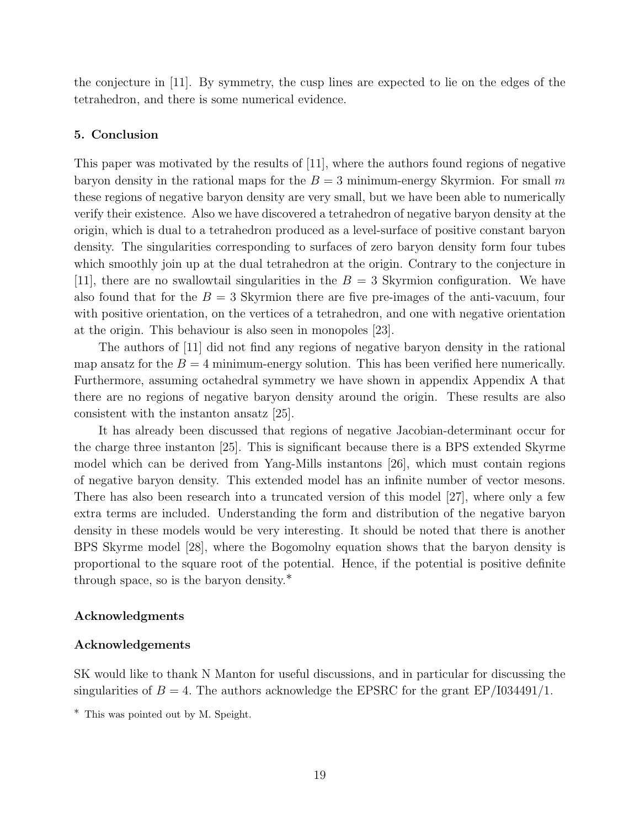the conjecture in [11]. By symmetry, the cusp lines are expected to lie on the edges of the tetrahedron, and there is some numerical evidence.

#### 5. Conclusion

This paper was motivated by the results of [11], where the authors found regions of negative baryon density in the rational maps for the  $B = 3$  minimum-energy Skyrmion. For small m these regions of negative baryon density are very small, but we have been able to numerically verify their existence. Also we have discovered a tetrahedron of negative baryon density at the origin, which is dual to a tetrahedron produced as a level-surface of positive constant baryon density. The singularities corresponding to surfaces of zero baryon density form four tubes which smoothly join up at the dual tetrahedron at the origin. Contrary to the conjecture in [11], there are no swallowtail singularities in the  $B = 3$  Skyrmion configuration. We have also found that for the  $B = 3$  Skyrmion there are five pre-images of the anti-vacuum, four with positive orientation, on the vertices of a tetrahedron, and one with negative orientation at the origin. This behaviour is also seen in monopoles [23].

The authors of [11] did not find any regions of negative baryon density in the rational map ansatz for the  $B = 4$  minimum-energy solution. This has been verified here numerically. Furthermore, assuming octahedral symmetry we have shown in appendix Appendix A that there are no regions of negative baryon density around the origin. These results are also consistent with the instanton ansatz [25].

It has already been discussed that regions of negative Jacobian-determinant occur for the charge three instanton [25]. This is significant because there is a BPS extended Skyrme model which can be derived from Yang-Mills instantons [26], which must contain regions of negative baryon density. This extended model has an infinite number of vector mesons. There has also been research into a truncated version of this model [27], where only a few extra terms are included. Understanding the form and distribution of the negative baryon density in these models would be very interesting. It should be noted that there is another BPS Skyrme model [28], where the Bogomolny equation shows that the baryon density is proportional to the square root of the potential. Hence, if the potential is positive definite through space, so is the baryon density.∗

#### Acknowledgments

#### Acknowledgements

SK would like to thank N Manton for useful discussions, and in particular for discussing the singularities of  $B = 4$ . The authors acknowledge the EPSRC for the grant EP/I034491/1.

<sup>∗</sup> This was pointed out by M. Speight.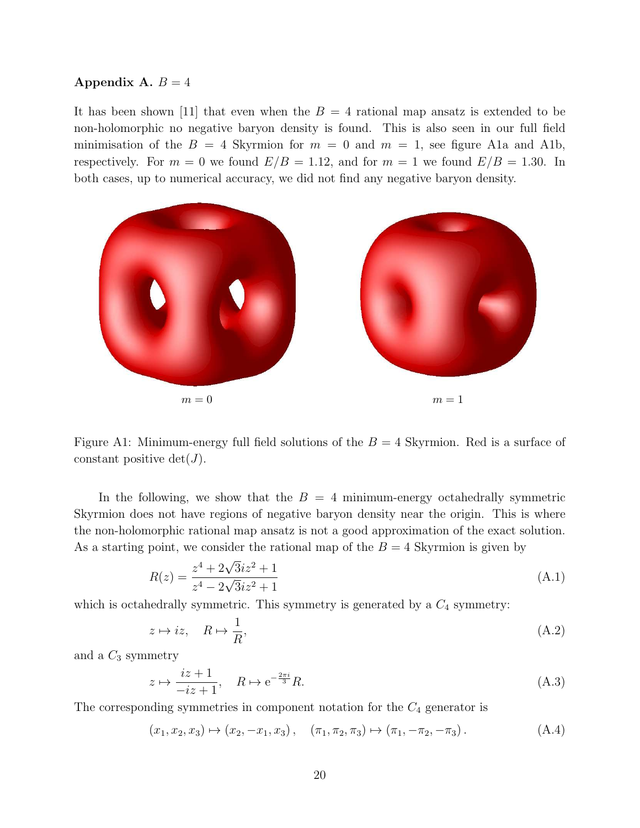#### Appendix A.  $B = 4$

It has been shown [11] that even when the  $B = 4$  rational map ansatz is extended to be non-holomorphic no negative baryon density is found. This is also seen in our full field minimisation of the  $B = 4$  Skyrmion for  $m = 0$  and  $m = 1$ , see figure A1a and A1b, respectively. For  $m = 0$  we found  $E/B = 1.12$ , and for  $m = 1$  we found  $E/B = 1.30$ . In both cases, up to numerical accuracy, we did not find any negative baryon density.



Figure A1: Minimum-energy full field solutions of the  $B = 4$  Skyrmion. Red is a surface of constant positive  $\det(J)$ .

In the following, we show that the  $B = 4$  minimum-energy octahedrally symmetric Skyrmion does not have regions of negative baryon density near the origin. This is where the non-holomorphic rational map ansatz is not a good approximation of the exact solution. As a starting point, we consider the rational map of the  $B = 4$  Skyrmion is given by

$$
R(z) = \frac{z^4 + 2\sqrt{3}iz^2 + 1}{z^4 - 2\sqrt{3}iz^2 + 1}
$$
\n(A.1)

which is octahedrally symmetric. This symmetry is generated by a  $C_4$  symmetry:

$$
z \mapsto iz, \quad R \mapsto \frac{1}{R},\tag{A.2}
$$

and a  $C_3$  symmetry

$$
z \mapsto \frac{iz+1}{-iz+1}, \quad R \mapsto e^{-\frac{2\pi i}{3}}R. \tag{A.3}
$$

The corresponding symmetries in component notation for the  $C_4$  generator is

$$
(x_1, x_2, x_3) \mapsto (x_2, -x_1, x_3), \quad (\pi_1, \pi_2, \pi_3) \mapsto (\pi_1, -\pi_2, -\pi_3).
$$
 (A.4)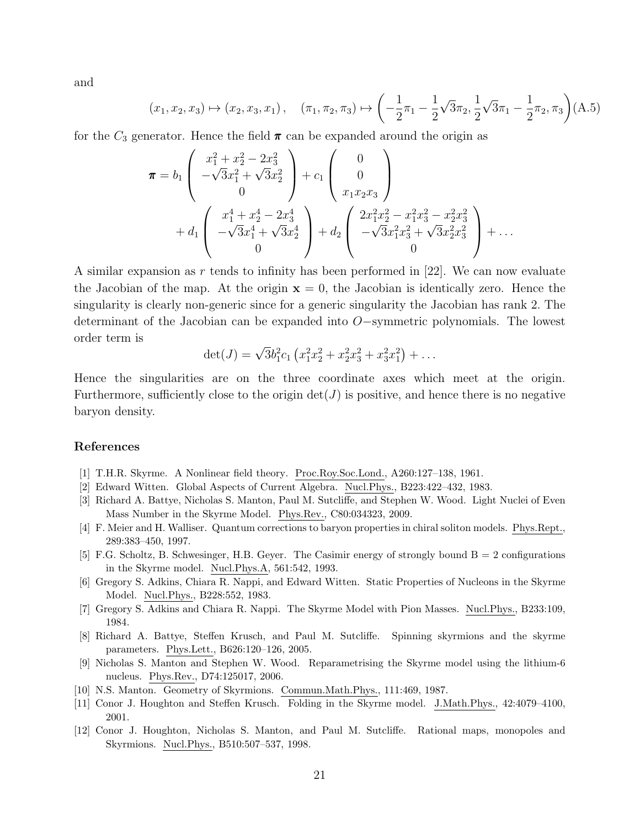and

$$
(x_1, x_2, x_3) \mapsto (x_2, x_3, x_1), \quad (\pi_1, \pi_2, \pi_3) \mapsto \left(-\frac{1}{2}\pi_1 - \frac{1}{2}\sqrt{3}\pi_2, \frac{1}{2}\sqrt{3}\pi_1 - \frac{1}{2}\pi_2, \pi_3\right) (A.5)
$$

for the  $C_3$  generator. Hence the field  $\pi$  can be expanded around the origin as

$$
\pi = b_1 \begin{pmatrix} x_1^2 + x_2^2 - 2x_3^2 \\ -\sqrt{3}x_1^2 + \sqrt{3}x_2^2 \\ 0 \end{pmatrix} + c_1 \begin{pmatrix} 0 \\ 0 \\ x_1x_2x_3 \end{pmatrix}
$$
  
+  $d_1 \begin{pmatrix} x_1^4 + x_2^4 - 2x_3^4 \\ -\sqrt{3}x_1^4 + \sqrt{3}x_2^4 \\ 0 \end{pmatrix} + d_2 \begin{pmatrix} 2x_1^2x_2^2 - x_1^2x_3^2 - x_2^2x_3^2 \\ -\sqrt{3}x_1^2x_3^2 + \sqrt{3}x_2^2x_3^2 \\ 0 \end{pmatrix} + \dots$ 

A similar expansion as r tends to infinity has been performed in  $[22]$ . We can now evaluate the Jacobian of the map. At the origin  $x = 0$ , the Jacobian is identically zero. Hence the singularity is clearly non-generic since for a generic singularity the Jacobian has rank 2. The determinant of the Jacobian can be expanded into O−symmetric polynomials. The lowest order term is

$$
\det(J) = \sqrt{3}b_1^2c_1\left(x_1^2x_2^2 + x_2^2x_3^2 + x_3^2x_1^2\right) + \dots
$$

Hence the singularities are on the three coordinate axes which meet at the origin. Furthermore, sufficiently close to the origin  $\det(J)$  is positive, and hence there is no negative baryon density.

#### References

- [1] T.H.R. Skyrme. A Nonlinear field theory. Proc.Roy.Soc.Lond., A260:127–138, 1961.
- [2] Edward Witten. Global Aspects of Current Algebra. Nucl.Phys., B223:422–432, 1983.
- [3] Richard A. Battye, Nicholas S. Manton, Paul M. Sutcliffe, and Stephen W. Wood. Light Nuclei of Even Mass Number in the Skyrme Model. Phys.Rev., C80:034323, 2009.
- [4] F. Meier and H. Walliser. Quantum corrections to baryon properties in chiral soliton models. Phys.Rept., 289:383–450, 1997.
- [5] F.G. Scholtz, B. Schwesinger, H.B. Geyer. The Casimir energy of strongly bound B = 2 configurations in the Skyrme model. Nucl.Phys.A, 561:542, 1993.
- [6] Gregory S. Adkins, Chiara R. Nappi, and Edward Witten. Static Properties of Nucleons in the Skyrme Model. Nucl.Phys., B228:552, 1983.
- [7] Gregory S. Adkins and Chiara R. Nappi. The Skyrme Model with Pion Masses. Nucl.Phys., B233:109, 1984.
- [8] Richard A. Battye, Steffen Krusch, and Paul M. Sutcliffe. Spinning skyrmions and the skyrme parameters. Phys.Lett., B626:120–126, 2005.
- [9] Nicholas S. Manton and Stephen W. Wood. Reparametrising the Skyrme model using the lithium-6 nucleus. Phys.Rev., D74:125017, 2006.
- [10] N.S. Manton. Geometry of Skyrmions. Commun.Math.Phys., 111:469, 1987.
- [11] Conor J. Houghton and Steffen Krusch. Folding in the Skyrme model. J.Math.Phys., 42:4079–4100, 2001.
- [12] Conor J. Houghton, Nicholas S. Manton, and Paul M. Sutcliffe. Rational maps, monopoles and Skyrmions. Nucl.Phys., B510:507–537, 1998.